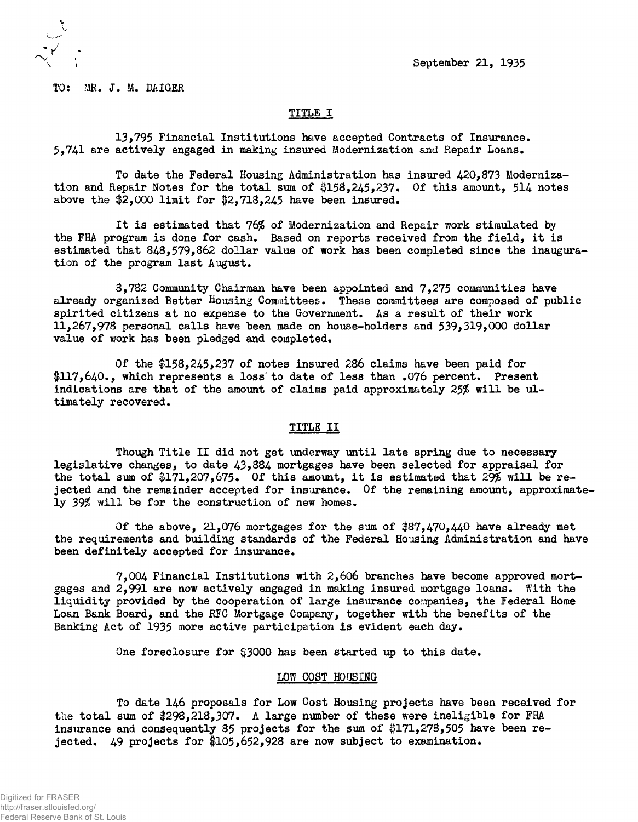; September 21, 1935

TO: MR, J. M. DAIGER

## TITLE I

13,795 Financial Institutions have accepted Contracts of Insurance\* 5.741 are actively engaged in making insured Modernization and Repair Loans.

To date the Federal Housing Administration has insured 420,873 Modernization and Repair Notes for the total sum of  $$158,245,237$ . Of this amount, 514 notes above the  $2,000$  limit for  $2,713,245$  have been insured.

It is estimated that 76\$ of Modernization and Repair work stimulated by the FHA program is done for cash. Based on reports received from the field, it is estimated that 848,579,862 dollar value of work has been completed since the inauguration of the program last August.

3,782 Community Chairman have been appointed and 7,275 communities have already organized Better Housing Committees. These committees are composed of public spirited citizens at no expense to the Government. As a result of their work 11,267,978 personal calls have been made on house-holders and 539,319,000 dollar value of work has been pledged and completed.

Of the  $$158,245,237$  of notes insured 286 claims have been paid for \$117,640., which represents a loss to date of less than .076 percent. Present indications are that of the amount of claims paid approximately 25% will be ultimately recovered.

## TITLE II

Though Title II did not get underway until late spring due to necessary legislative changes, to date 43,884 mortgages have been selected for appraisal for the total sum of \$171,207,675. Of this amount, it is estimated that 29% will be rejected and the remainder accepted for insurance. Of the remaining amount, approximately 39\$ will be for the construction of new homes.

Of the above, 21,076 mortgages for the sum of \$87,470,440 have already met the requirements and building standards of the Federal Housing Administration and have been definitely accepted for insurance.

7,004 Financial Institutions with 2,606 branches have become approved mortgages and 2,991 are now actively engaged in making insured mortgage loans. With the liquidity provided by the cooperation of large insurance companies, the Federal Home Loan Bank Board, and the RFC Mortgage Company, together with the benefits of the Banking Act of 1935 more active participation is evident each day.

One foreclosure for §3000 has been started up to this date.

## LOW COST HOUSING

To date 146 proposals for Low Cost Housing projects have been received for the total sum of  $298,218,307$ . A large number of these were ineligible for FHA insurance and consequently 85 projects for the sum of  $171,278,505$  have been rejected. 49 projects for #105,652,928 are now subject to examination.